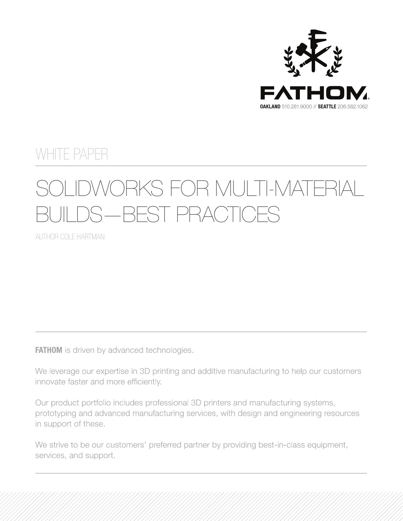

### WHITE PAPER

# SOLIDWORKS FOR MULTI-MATERIAL JILDS—BEST PRACTICES

AUTHOR COLE HARTMAN

**FATHOM** is driven by advanced technologies.

We leverage our expertise in 3D printing and additive manufacturing to help our customers innovate faster and more efficiently.

Our product portfolio includes professional 3D printers and manufacturing systems, prototyping and advanced manufacturing services, with design and engineering resources in support of these.

We strive to be our customers' preferred partner by providing best-in-class equipment, services, and support.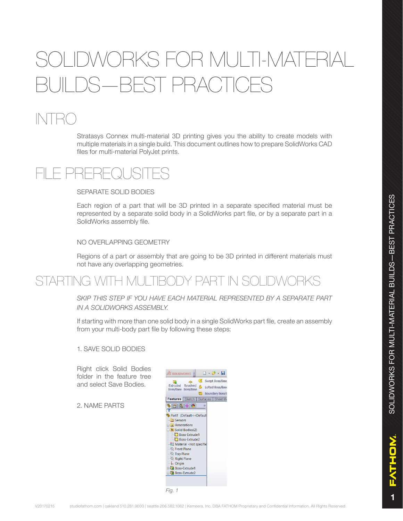## VORKS FOR MULTI-MATER JII DS—BEST PRACTICES

## $\mathbb{N}$ t $\mathbb{R}$ (

Stratasys Connex multi-material 3D printing gives you the ability to create models with multiple materials in a single build. This document outlines how to prepare SolidWorks CAD files for multi-material PolyJet prints.



SEPARATE SOLID BODIES

Each region of a part that will be 3D printed in a separate specified material must be represented by a separate solid body in a SolidWorks part file, or by a separate part in a SolidWorks assembly file.

NO OVERLAPPING GEOMETRY

Regions of a part or assembly that are going to be 3D printed in different materials must not have any overlapping geometries.

### STARTING WITH MULTIBODY PART IN SOLIDWORKS

*SKIP THIS STEP IF YOU HAVE EACH MATERIAL REPRESENTED BY A SEPARATE PART IN A SOLIDWORKS ASSEMBLY.*

If starting with more than one solid body in a single SolidWorks part file, create an assembly from your multi-body part file by following these steps:

1. SAVE SOLID BODIES

Right click Solid Bodies folder in the feature tree and select Save Bodies.

2. NAME PARTS

| <b>S SOLIDWORKS</b>                                                                                                                                                                                                                                                                                                                  |               | $\Box$ $\cdot$ $\beta$ $\cdot$ $\Box$                         |
|--------------------------------------------------------------------------------------------------------------------------------------------------------------------------------------------------------------------------------------------------------------------------------------------------------------------------------------|---------------|---------------------------------------------------------------|
| 扃<br>640<br><b>Extruded Revolved</b><br>Boss/Base Boss/Base                                                                                                                                                                                                                                                                          | re de la      | Swept Boss/Base<br>Lofted Boss/Base<br><b>Boundary Boss/E</b> |
| Features Sketch                                                                                                                                                                                                                                                                                                                      |               | Surfaces   Sheet Me                                           |
| $969+0$<br>$\overline{\mathbf{x}}$                                                                                                                                                                                                                                                                                                   | $\rightarrow$ |                                                               |
| Part1 (Default< <default<br><b>8</b> Sensors<br/><b>Al Annotations</b><br/><b>D</b> Solid Bodies(2)<br/><b>Boss-Extrude1</b><br/><b>Boss-Extrude2</b><br/>₹ Material <not specifie<br=""><b>Export Plane</b><br/><b>Nop Plane</b><br/>Right Plane<br/>←↓ Origin<br/><b>Boss-Extrude1</b><br/><b>Boss-Extrude2</b></not></default<br> |               |                                                               |

*Fig. 1*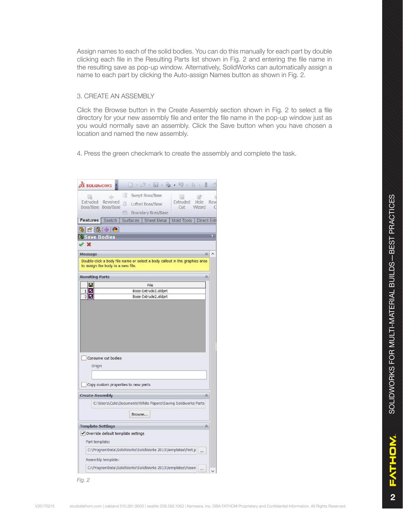Assign names to each of the solid bodies. You can do this manually for each part by double clicking each file in the Resulting Parts list shown in Fig. 2 and entering the file name in the resulting save as pop-up window. Alternatively, SolidWorks can automatically assign a name to each part by clicking the Auto-assign Names button as shown in Fig. 2.

#### 3. CREATE AN ASSEMBLY

Click the Browse button in the Create Assembly section shown in Fig. 2 to select a file directory for your new assembly file and enter the file name in the pop-up window just as you would normally save an assembly. Click the Save button when you have chosen a location and named the new assembly.

4. Press the green checkmark to create the assembly and complete the task.

|                        |                | <b>OS SOLIDWORKS</b>                 |   |                 |                  | 1.8.7.3.                                                                    |  | り                 | $\mathbb{R}$ |                |                     |
|------------------------|----------------|--------------------------------------|---|-----------------|------------------|-----------------------------------------------------------------------------|--|-------------------|--------------|----------------|---------------------|
| <b>Isl</b>             |                | 600                                  |   |                 | Swept Boss/Base  |                                                                             |  | <b>ial</b>        |              |                |                     |
| Extruded               |                | Revolved<br>Boss/Base Boss/Base      | A |                 | Lofted Boss/Base |                                                                             |  | Extruded<br>Cut   |              | Hole<br>Wizard |                     |
|                        |                |                                      |   |                 |                  | Boundary Boss/Base                                                          |  |                   |              |                |                     |
| <b>Features</b>        |                | <b>Sketch</b>                        |   | <b>Surfaces</b> |                  | <b>Sheet Metal</b>                                                          |  | <b>Mold Tools</b> |              |                | <b>Direct Edit</b>  |
| ఆ                      |                | 商  2  少  0                           |   |                 |                  |                                                                             |  |                   |              |                |                     |
|                        |                | <b>Save Bodies</b>                   |   |                 |                  |                                                                             |  |                   |              |                |                     |
| ×                      |                |                                      |   |                 |                  |                                                                             |  |                   |              |                |                     |
| Message                |                |                                      |   |                 |                  |                                                                             |  |                   |              |                | 《                   |
|                        |                | to assign the body to a new file.    |   |                 |                  | Double-click a body file name or select a body callout in the graphics area |  |                   |              |                |                     |
| <b>Resulting Parts</b> |                |                                      |   |                 |                  |                                                                             |  |                   |              |                | $\hat{\mathcal{R}}$ |
| H                      |                |                                      |   |                 | File             |                                                                             |  |                   |              |                |                     |
| $1\vert$ $\Box$<br>2 M |                |                                      |   |                 |                  | Boss-Extrude1.sldprt<br>Boss-Extrude2.sldprt                                |  |                   |              |                |                     |
|                        |                |                                      |   |                 |                  |                                                                             |  |                   |              |                |                     |
|                        |                |                                      |   |                 |                  |                                                                             |  |                   |              |                |                     |
|                        |                | Consume cut bodies                   |   |                 |                  |                                                                             |  |                   |              |                |                     |
|                        | Origin         |                                      |   |                 |                  |                                                                             |  |                   |              |                |                     |
|                        |                |                                      |   |                 |                  |                                                                             |  |                   |              |                |                     |
|                        |                | Copy custom properties to new parts  |   |                 |                  |                                                                             |  |                   |              |                |                     |
|                        |                | <b>Create Assembly</b>               |   |                 |                  |                                                                             |  |                   |              |                | 公                   |
|                        |                |                                      |   |                 |                  | C:\Users\Cole\Documents\White Papers\Saving Solidworks Parts                |  |                   |              |                |                     |
|                        |                |                                      |   | Browse          |                  |                                                                             |  |                   |              |                |                     |
|                        |                | <b>Template Settings</b>             |   |                 |                  |                                                                             |  |                   |              |                | ☆                   |
|                        |                | √ Override default template settings |   |                 |                  |                                                                             |  |                   |              |                |                     |
|                        | Part template: |                                      |   |                 |                  |                                                                             |  |                   |              |                |                     |
|                        |                |                                      |   |                 |                  | C:\ProgramData\SolidWorks\SolidWorks 2013\templates\Part.p                  |  |                   |              |                |                     |
|                        |                | Assembly template:                   |   |                 |                  |                                                                             |  |                   |              |                |                     |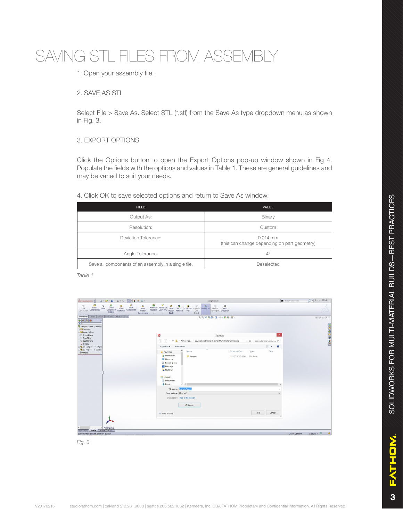### SAVING STL FILES FROM ASSEMBLY

### 1. Open your assembly file.

#### 2. SAVE AS STL

Select File > Save As. Select STL (\*.stl) from the Save As type dropdown menu as shown in Fig. 3.

#### 3. EXPORT OPTIONS

Click the Options button to open the Export Options pop-up window shown in Fig 4. Populate the fields with the options and values in Table 1. These are general guidelines and may be varied to suit your needs.

#### 4. Click OK to save selected options and return to Save As window.

| <b>FIELD</b>                                         | <b>VALUE</b>                                               |
|------------------------------------------------------|------------------------------------------------------------|
| Output As:                                           | Binary                                                     |
| Resolution:                                          | Custom                                                     |
| Deviation Tolerance:                                 | $0.014$ mm<br>(this can change depending on part geometry) |
| Angle Tolerance:                                     | $4^\circ$                                                  |
| Save all components of an assembly in a single file. | Deselected                                                 |

*Table 1*



*Fig. 3*